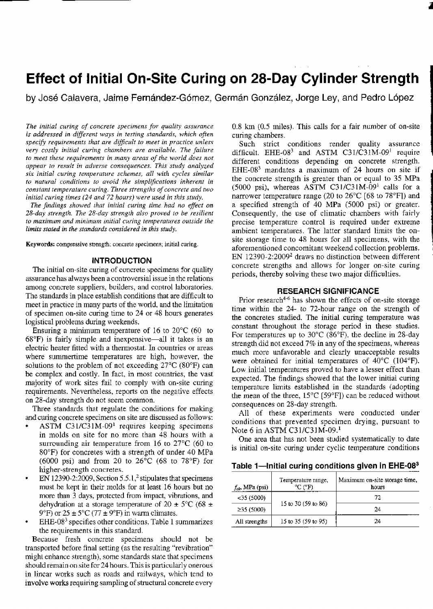# **Effect of Initial On-Site Curing on 28-Day Cylinder Strength**

by José Calavera, Jaime Fernández-Gómez, Germán González, Jorge Ley, and Pedro López

*The initial curing of concrete specimens for quality assurance is addressed in different ways in testing standards, which often specify requirements that are difficult to meet in practice unless very costly initial curing chambers are available. The failure to meet these requirements in many areas of the world does not appear to result in adverse consequences. This study analyzed six initial curing temperature schemes, all with cycles similar to natural conditions to avoid the simplifications inherent in constant temperature curing. Three strengths of concrete and. two initial curing times (24 and 72 hours) were used in this study.* 

*The findings showed that initial curing time had no effect on 28-day strength. The 28-day strength also proved to be resilient to maximum and minimum initial curing temperatures outside the limits stated in the standards considered in this study.* 

**Keywords:** compressive strength; concrete specimens; initial curing.

#### INTRODUCTION

The initial on-site curing of concrete specimens for quality assurance has always been a controversial issue in the relations among concrete suppliers, builders, and control laboratories. The standards in place establish conditions that are difficult to meet in practice in many parts of the world, and the limitation of specimen on-site curing time to 24 or 48 hours generates logistical problems during weekends.

Ensuring a minimum temperature of 16 to 20°C (60 to 68°F) is fairly simple and inexpensive—all it takes is an electric heater fitted with a thermostat. In countries or areas where summertime temperatures are high, however, the solutions to the problem of not exceeding 27°C (80°F) can be complex and costly. In fact, in most countries, the vast majority of work sites fail to comply with on-site curing requirements. Nevertheless, reports on the negative effects on 28-day strength do not seem common.

Three standards that regulate the conditions for making **and curing** concrete specimens on site are discussed as follows:

- ASTM C31/C31M-09<sup>1</sup> requires keeping specimens in molds on site for no more than 48 hours with a surrounding air temperature from 16 to 27°C (60 to 80°F) for concretes with a strength of under 40 MPa (6000 psi) and from 20 to 26°C (68 to 78°F) for higher-strength concretes.
- **•** EN 12390-2:2009, Section  $5.5.1$ ,<sup>2</sup> stipulates that specimens must be kept in their molds for at least 16 hours but no more than 3 days, protected from impact, vibrations, and dehydration at a storage temperature of 20  $\pm$  5°C (68  $\pm$ 9°F) or  $25 \pm 5$ °C (77 ± 9°F) in warm climates.
- EHE-08<sup>3</sup> specifies other conditions. Table 1 summarizes the requirements in this standard.

Because fresh concrete specimens should not be transported before final setting (as the resulting "revibration" might enhance strength), some standards state that specimens should remain on site for 24 hours. This is particularly onerous in linear works such as roads and railways, which tend to involve works requiring sampling of structural concrete every 0.8 km (0.5 miles). This calls for a fair number of on-site curing chambers.

Such strict conditions render quality assurance difficult. EHE-08<sup>3</sup> and ASTM C31/C31M-09<sup>1</sup> require different conditions depending on concrete strength. EHE-08<sup>3</sup> mandates a maximum of 24 hours on site if the concrete strength is greater than or equal to 35 MPa (5000 psi), whereas ASTM C31/C31M-09<sup>1</sup> calls for a narrower temperature range (20 to 26°C [68 to 78°F1) and a specified strength of 40 MPa (5000 psi) or greater. Consequently, the use of climatic chambers with fairlyprecise temperature control is required under extreme ambient temperatures. The latter standard limits the onsite storage time to 48 hours for all specimens, with the aforementioned concomitant weekend collection problems. EN 12390-2:2009<sup>2</sup> draws no distinction between different concrete strengths and allows for longer on-site curing periods, thereby solving these two major difficulties.

#### RESEARCH SIGNIFICANCE

Prior research<sup>4-6</sup> has shown the effects of on-site storage time within the 24- to 72-hour range on the strength of the concretes studied. The initial curing temperature was constant throughout the storage period in these studies. For temperatures up to 30°C (86°F), the decline in 28-day strength did not exceed  $7\%$  in any of the specimens, whereas much more unfavorable and clearly unacceptable results were obtained for initial temperatures of 40°C (104°F). Low initial temperatures proved to have a lesser effect than expected. The findings showed that the lower initial curing temperature limits established in the standards (adopting the mean of the three, 15°C [59°F]) can be reduced without consequences on 28-day strength.

All of these experiments were conducted under conditions that prevented specimen drying, pursuant to Note 6 in ASTM C31/C31M-09.<sup>1</sup>

One area that has not been studied systematically to date is initial on-site curing under cyclic temperature conditions

Table 1—Initial curing conditions given in EHE-08 $3$ 

| $f_{ck}$ , MPa (psi) | Temperature range,<br>°C (°F)  | Maximum on-site storage time,<br>hours |  |  |  |
|----------------------|--------------------------------|----------------------------------------|--|--|--|
| $<$ 35 (5000)        |                                | 72                                     |  |  |  |
| ≥35(5000)            | 15 to 30 (59 to 86)            | 24                                     |  |  |  |
| All strengths        | 15 to 35 $(59 \text{ to } 95)$ | 24                                     |  |  |  |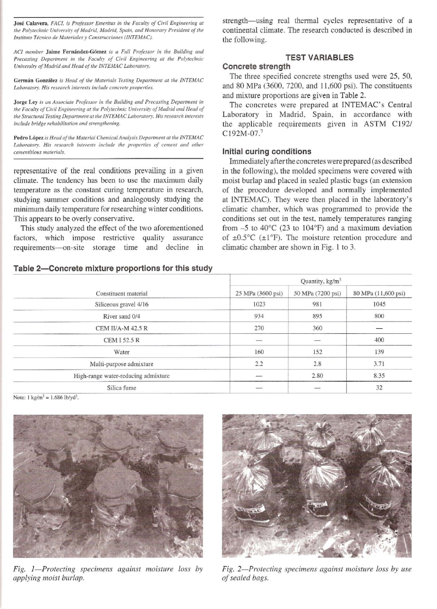**José Calavera,** *FACÍ, is Professor Emeritus in the Faculty of Civil Engineering at the Polytechnic University of Madrid. Madrid, Spain, and Honorary President of the Instituto Técnico de Materiales y Construcciones {INTEMAC).* 

*ACI member* **Jaime Fernández-Gómez** *is a Full Professor in the Building and Precasting Department in the Faculty of Civil Engineering at the Polytechnic University of Madrid and Head of the INTEMAC Laboratory.* 

Germán González *is Head of the Materials Testing Department at the INTEMAC Laboratory. His research interests include concrete properties.* 

**Jorge Ley** *is an Associate Professor in the Building and Precasting Department in*  the Faculty of Civil Engineering at the Polytechnic University of Madrid and Head of the Structural Testing Department at the INTEMAC Laboratory. His research interests *include bridge rehabilitation and strengthening.* 

**Pedro Lopez** *is Head of the Material Chemical Analysis Department at the INTEMAC*  Laboratory. His research interests include the properties of cement and other *cementitious materials.* 

representative of the real conditions prevailing in a given climate. The tendency has been to use the maximum daily temperature as the constant curing temperature in research, studying summer conditions and analogously studying the minimum daily temperature for researching winter conditions. This appears to be overly conservative.

This study analyzed the effect of the two aforementioned factors, which impose restrictive quality assurance requirements—on-site storage time and decline in

| Table 2—Concrete mixture proportions for this study |  |
|-----------------------------------------------------|--|
|-----------------------------------------------------|--|

strength—using real thermal cycles representative of a continental climate. The research conducted is described in the following,

# TEST VARIABLES

## Concrete strength

The three specified concrete strengths used were 25, 50, and 80 MPa (3600, 7200, and 11,600 psi). The constituents and mixture proportions are given in Table 2.

The concretes were prepared at INTEMAC's Central Laboratory in Madrid, Spain, in accordance with the applicable requirements given in ASTM CI92/ C192M-07.<sup>7</sup>

## Initial curing conditions

Immediately after the concretes were prepared (as described in the following), the molded specimens were covered with moist burlap and placed in sealed plastic bags (an extension of the procedure developed and normally implemented at INTEMAC). They were then placed in the laboratory's climatic chamber, which was programmed to provide the conditions set out in the test, namely temperatures ranging from  $-5$  to  $40^{\circ}$ C (23 to  $104^{\circ}$ F) and a maximum deviation of  $\pm 0.5^{\circ}$ C ( $\pm 1^{\circ}$ F). The moisture retention procedure and climatic chamber are shown in Fig. 1 to 3.

|                                     | Quantity, kg/m <sup>3</sup> |                   |                     |  |  |
|-------------------------------------|-----------------------------|-------------------|---------------------|--|--|
| Constituent material                | 25 MPa (3600 psi)           | 50 MPa (7200 psi) | 80 MPa (11,600 psi) |  |  |
| Siliceous gravel 4/16               | 1023                        | 981               | 1045                |  |  |
| River sand 0/4                      | 934                         | 895               | 800                 |  |  |
| CEM II/A-M $42.5R$                  | 270                         | 360               |                     |  |  |
| <b>CEM I 52.5 R</b>                 | -                           |                   | 400                 |  |  |
| Water                               | 160                         | 152               | 139                 |  |  |
| Multi-purpose admixture             | 2.2                         | 2.8               | 3.71                |  |  |
| High-range water-reducing admixture | _                           | 2.80              | 8.35                |  |  |
| Silica fume                         |                             |                   | 32                  |  |  |

Note:  $1 \text{ kg/m}^3 = 1.686 \text{ lb/yd}^3$ .



*Fig. 1*—*Protecting specimens against moisture loss by applying moist burlap.* 



*Fig. 2*—*Protecting specimens against moisture loss by use of sealed bags.*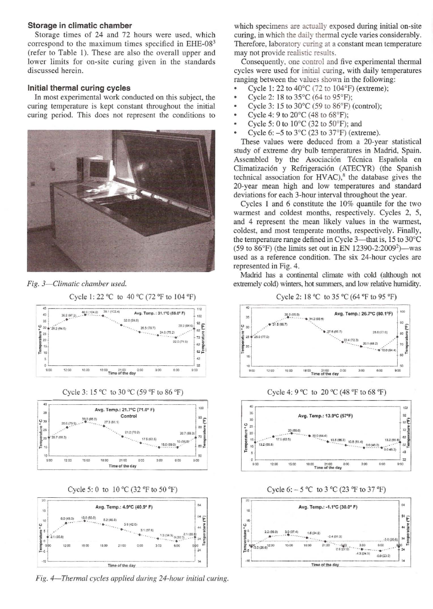#### Storage in climatic chamber

Storage times of 24 and 72 hours were used, which correspond to the maximum times specified in EHE-08<sup>3</sup> (refer to Table 1). These are also the overall upper and lower limits for on-site curing given in the standards discussed herein.

## Initial thermal curing cycles

In most experimental work conducted on this subject, the curing temperature is kept constant throughout the initial curing period. This does not represent the conditions to



*Fig, 3*—*Climatic chamber used.* 



Cycle 3: 15 °C to 30 °C (59 °F to 86 °F)



Cycle 5: 0 to  $10^{\circ}$ C (32 °F to 50 °F)



Fig. 4—*Thermal cycles applied during 24-hour initial curing.* 

which specimens are actually exposed during initial on-site curing, in which the daily thermal cycle varies considerably. Therefore, laboratory curing at a constant mean temperature may not provide realistic results.

Consequently, one control and five experimental thermal cycles were used for initial curing, with daily temperatures ranging between the values shown in the following:

- Cycle 1: 22 to  $40^{\circ}$ C (72 to  $104^{\circ}$ F) (extreme);
- Cycle 2: 18 to 35°C (64 to 95°F);
- Cycle 3: 15 to  $30^{\circ}$ C (59 to  $86^{\circ}$ F) (control);
- Cycle 4: 9 to  $20^{\circ}$ C (48 to  $68^{\circ}$ F);
- Cycle 5: 0 to  $10^{\circ}$ C (32 to 50 $^{\circ}$ F); and
- Cycle 6:  $-5$  to  $3^{\circ}$ C (23 to  $37^{\circ}$ F) (extreme).

These values were deduced from a 20-year statistical study of extreme dry bulb temperatures in Madrid, Spain. Assembled by the Asociación Técnica Española en Climatización y Refrigeración (ATECYR) (the Spanish technical association for HVAC),<sup>8</sup> the database gives the 20-year mean high and low temperatures and standard deviations for each 3-hour interval throughout the year.

Cycles 1 and 6 constitute the 10% quantile for the two warmest and coldest months, respectively. Cycles 2, 5, and 4 represent the mean likely values in the warmest, coldest, and most temperate months, respectively. Finally, the temperature range defined in Cycle 3—that is, 15 to 30°C (59 to 86°F) (the limits set out in EN 12390-2:2009<sup>2</sup> )—was used as a reference condition. The six 24-hour cycles are represented in Fig. 4.

Madrid has a continental climate with cold (although not extremely cold) winters, hot summers, and low relative humidity.



Cycle 4: 9 °C to 20 °C (48 °F to 68 °F)



Cycle 6:  $-5$  °C to 3 °C (23 °F to 37 °F)



Cycle 1: 22 °C to 40 °C (72 °F to 104 °F)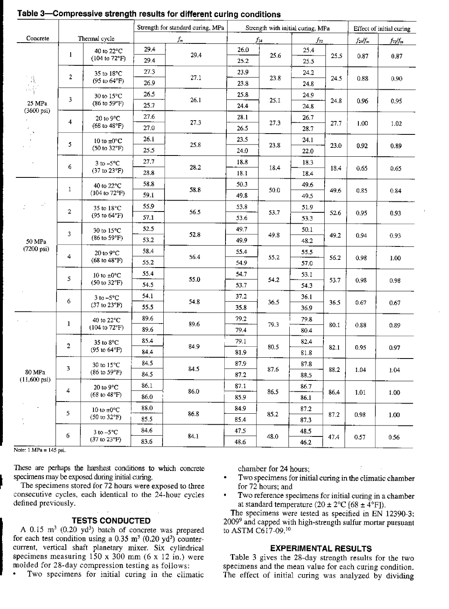|                                              |               |                                                           | Strength for standard curing, MPa |      | Strength with initial curing, MPa |      |      |          | Effect of initial curing |                               |  |
|----------------------------------------------|---------------|-----------------------------------------------------------|-----------------------------------|------|-----------------------------------|------|------|----------|--------------------------|-------------------------------|--|
| Concrete                                     | Thermal cycle |                                                           | $f_m$                             |      |                                   | fи   |      | $f_{72}$ |                          | $f_2$ 4 $f_m$<br>$f_{72}/f_m$ |  |
| 25 MPa<br>$(3600 \text{ psi})$<br>$^{\circ}$ |               | 40 to 22°C                                                | 29.4                              | 29.4 | 26.0                              |      | 25.4 |          | 0.87                     | 0.87                          |  |
|                                              | $\mathbf{1}$  | (104 to 72°F)                                             | 29.4                              |      | 25.2                              | 25.6 | 25.5 | 25.5     |                          |                               |  |
|                                              | 2             | 35 to 18°C<br>(95 to 64°F)                                | 27.3                              | 27.1 | 23.9                              | 23.8 | 24.2 | 24.5     | 0.88                     | 0.90 <sub>1</sub>             |  |
|                                              |               |                                                           | 26.9                              |      | 23.8                              |      | 24.8 |          |                          |                               |  |
|                                              | 3             | 30 to 15°C<br>$(86 \text{ to } 59^{\circ}F)$              | 26.5                              | 26.1 | 25.8                              | 25.1 | 24.9 | 24.8     | 0.96                     | 0.95                          |  |
|                                              |               |                                                           | 25.7                              |      | 24.4                              |      | 24.8 |          |                          |                               |  |
|                                              | 4             | 20 to 9°C<br>$(68 \text{ to } 48^{\circ} \text{F})$       | 27.6                              | 27.3 | 28.1                              | 27.3 | 26.7 | 27.7     | 1.00                     | 1.02                          |  |
|                                              |               |                                                           | 27.0                              |      | 26.5                              |      | 28.7 |          |                          |                               |  |
|                                              | 5             | 10 to ±0°C<br>(50 to 32°F)                                | 26.1                              | 25.8 | 23.5                              | 23.8 | 24.1 | 23.0     | 0.92                     | 0.89                          |  |
|                                              |               |                                                           | 25.5                              |      | 24.0                              |      | 22.0 |          |                          |                               |  |
|                                              | 6             | $3$ to $-5$ °C                                            | 27.7                              |      | 18.8                              | 18.4 | 18.3 | 18.4     | 0.65                     | 0.65                          |  |
|                                              |               | $(37 \text{ to } 23^{\circ}F)$                            | 28.8                              | 28.2 | 18.1                              |      | 18.4 |          |                          |                               |  |
| цÚ<br>50 MPa<br>$(7200 \text{ psi})$         |               | 40 to 22°C<br>$(104 \text{ to } 72^{\circ} \text{F})$     | 58.8                              |      | 50.3                              |      | 49.6 |          | 0.85                     | 0.84                          |  |
|                                              | $\mathbf{1}$  |                                                           | 59.1                              | 58.8 | 49.8                              | 50.0 | 49.5 | 49.6     |                          |                               |  |
|                                              |               | 35 to 18°C<br>$(95 \text{ to } 64^{\circ}F)$              | 55.9                              |      | 53.8                              | 53.7 | 51.9 | 52.6     | 0.95                     | 0.93                          |  |
|                                              | 2             |                                                           | 57.1                              | 56.5 | 53.6                              |      | 53.3 |          |                          |                               |  |
|                                              | 3             | 30 to 15°C<br>(86 to 59°F)                                | 52.5                              | 52.8 | 49.7                              | 49.8 | 50.1 | 49.2     | 0.94                     | 0.93                          |  |
|                                              |               |                                                           | 53.2                              |      | 49.9                              |      | 48.2 |          |                          |                               |  |
|                                              | 4             | 20 to 9°C<br>$(68 \text{ to } 48^{\circ} \text{F})$       | 58.4                              | 56.4 | 55.4                              | 55.2 | 55.5 | 56.2     | 0.98                     | 1.00                          |  |
|                                              |               |                                                           | 55.2                              |      | 54.9                              |      | 57.0 |          |                          |                               |  |
|                                              | 5             | 10 to $\pm 0^{\circ}$ C<br>(50 to 32°F)                   | 55.4                              |      | 54.7                              | 54.2 | 53.1 | 53.7     | 0.98                     | 0.98                          |  |
|                                              |               |                                                           | 54.5                              | 55.0 | 53.7                              |      | 54.3 |          |                          |                               |  |
|                                              | 6             | $3$ to $-5$ °C<br>$(37 to 23^{\circ}F)$                   | 54.1                              | 54.8 | 37.2                              | 36.5 | 36.1 | 36.5     | 0.67                     | 0.67                          |  |
|                                              |               |                                                           | 55.5                              |      | 35.8                              |      | 36.9 |          |                          |                               |  |
| 80 MPa<br>$(11,600 \text{ psi})$             | $\mathbf{1}$  | 40 to 22°C<br>$(104 \text{ to } 72^{\circ}F)$             | 89.6                              |      | 79.2                              | 79.3 | 79.8 | 80.1     | 0.88                     | 0.89                          |  |
|                                              |               |                                                           | 89.6                              | 89.6 | 79.4                              |      | 80.4 |          |                          |                               |  |
|                                              | 2             | 35 to 8°C<br>(95 to 64°F)                                 | 85.4                              | 84.9 | 79.1                              | 80.5 | 82.4 | 82.1     | 0.95                     | 0.97                          |  |
|                                              |               |                                                           | 84.4                              |      | 81.9                              |      | 81.8 |          |                          |                               |  |
|                                              | 3             | 30 to 15°C<br>(86 to 59°F)                                | 84.5                              | 84.5 | 87.9                              | 87.6 | 87.8 | 88.2     | 1.04                     | 1.04                          |  |
|                                              |               |                                                           | 84.5                              |      | 87.2                              |      | 88.5 |          |                          |                               |  |
|                                              | 4             | 20 to 9°C<br>(68 to 48°F)                                 | 86.1                              | 86.0 | 87.1                              | 86.5 | 86.7 | 86.4     | 1.01                     | 1.00                          |  |
|                                              |               |                                                           | 86.0                              |      | 85.9                              |      | 86.1 |          |                          |                               |  |
|                                              | 5.            | 10 to $\pm 0^{\circ}$ C<br>$(50 \text{ to } 32^{\circ}F)$ | 88.0                              | 86.8 | 84.9                              | 85.2 | 87.2 | 87.2     | 0.98                     | 1.00                          |  |
|                                              |               |                                                           | 85.5                              |      | 85.4                              |      | 87.3 |          |                          |                               |  |
|                                              | б             | $3$ to $-5^{\circ}$ C<br>(37 to 23°F)                     | 84.6                              |      | 47.5                              | 48.0 | 48.5 |          | 0.57                     | 0.56                          |  |
|                                              |               |                                                           | 83.6                              | 84.1 | 48.6                              |      | 46.2 | 47.4     |                          |                               |  |

## **Table 3—Compressive strength results for different curing conditions**

Note:  $1 \text{ MPa} = 145 \text{ psi}$ .

These are perhaps the harshest conditions to which concrete specimens may be exposed during initial curing.

The specimens stored for 72 hours were exposed to three consecutive cycles, each identical to the 24-hour cycles defined previously.

# **TESTS CONDUCTED**

A  $0.15 \text{ m}^3$  (0.20 yd<sup>3</sup>) batch of concrete was prepared for each test condition using a 0.35  $\text{m}^3$  (0.20 yd<sup>3</sup>) countercurrent, vertical shaft planetary mixer. Six cylindrical specimens measuring  $150 \times 300$  mm (6 x 12 in.) were molded for 28-day compression testing as follows:

Two specimens for initial curing in the climatic

chamber for 24 hours;

- Two specimens for initial curing in the climatic chamber for 72 hours; and
- Two reference specimens for initial curing in a chamber at standard temperature  $(20 \pm 2^{\circ}\text{C } [68 \pm 4^{\circ}\text{F}]).$

The specimens were tested as specified in EN 12390-3: 2009<sup>9</sup> and capped with high-strength sulfur mortar pursuant to ASTM C617-09.<sup>10</sup>

## **EXPERIMENTAL RESULTS**

Table 3 gives the 28-day strength results for the two specimens and the mean value for each curing condition. The effect of initial curing was analyzed by dividing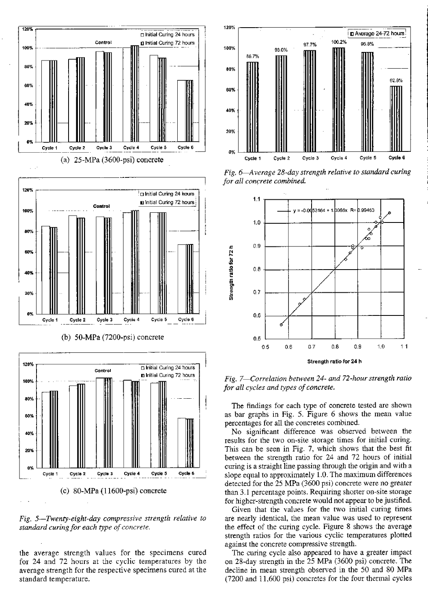



the average strength values for the specimens cured for 24 and 72 hours at the cyclic temperatures by the average strength for the respective specimens cured at the standard temperature.



*Fig. 6—Average 28-day strength relative to standard curing for all concrete combined.* 



*Fig. 7—Correlation between 24- and 72-hour strength ratio for all cycles and types of concrete.* 

The findings for each type of concrete tested are shown as bar graphs in Fig. 5. Figure 6 shows the mean value percentages for all the concretes combined.

No significant difference was observed between the results for the two on-site storage times for initial curing. This can be seen in Fig. 7, which shows that the best fit between the strength ratio for 24 and 72 hours of initial curing is a straight line passing through the origin and with a slope equal to approximately 1.0. The maximum differences detected for the 25 MPa (3600 psi) concrete were no greater than 3.1 percentage points. Requiring shorter on-site storage for higher-strength concrete would not appear to be justified.

Given that the values for the two initial curing times are nearly identical, the mean value was used to represent the effect of the curing cycle. Figure 8 shows the average strength ratios for the various cyclic temperatures plotted against the concrete compressive strength.

The curing cycle also appeared to have a greater impact on 28-day strength in the 25 MPa (3600 psi) concrete. The decline in mean strength observed in the 50 and 80 MPa (7200 and 11,600 psi) concretes for the four thermal cycles